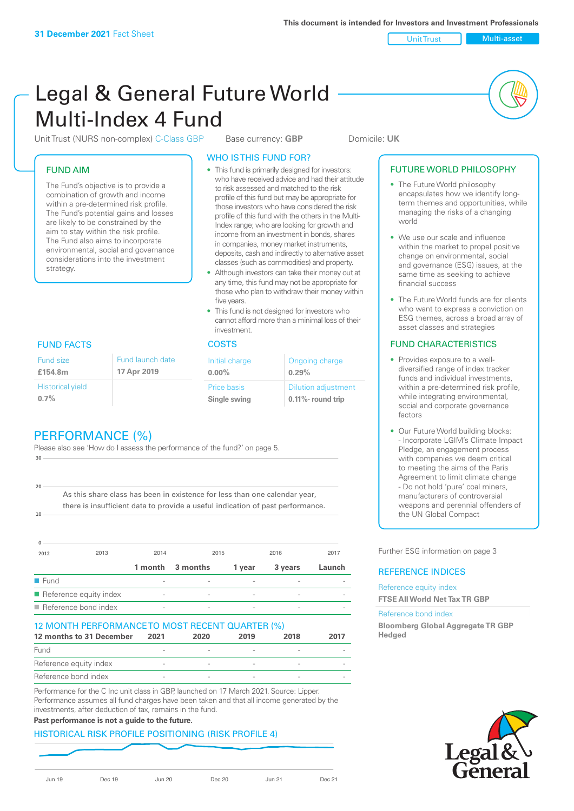Unit Trust Multi-asset

# Legal & General Future World Multi-Index 4 Fund

Unit Trust (NURS non-complex) C-Class GBP Base currency: **GBP** Domicile: UK

# FUND AIM

The Fund's objective is to provide a combination of growth and income within a pre-determined risk profile. The Fund's potential gains and losses are likely to be constrained by the aim to stay within the risk profile. The Fund also aims to incorporate environmental, social and governance considerations into the investment strategy.

# WHO IS THIS FUND FOR?

- This fund is primarily designed for investors: who have received advice and had their attitude to risk assessed and matched to the risk profile of this fund but may be appropriate for those investors who have considered the risk profile of this fund with the others in the Multi-Index range; who are looking for growth and income from an investment in bonds, shares in companies, money market instruments, deposits, cash and indirectly to alternative asset classes (such as commodities) and property.
- Although investors can take their money out at any time, this fund may not be appropriate for those who plan to withdraw their money within five years.
- This fund is not designed for investors who cannot afford more than a minimal loss of their investment.

| Fund launch date | Initial charge              | Ongoing charge                                      |  |
|------------------|-----------------------------|-----------------------------------------------------|--|
| 17 Apr 2019      | $0.00\%$                    | 0.29%                                               |  |
|                  | Price basis<br>Single swing | <b>Dilution adjustment</b><br>$0.11\%$ - round trip |  |

# FUND FACTS COSTS

Historical yield **0.7%**

Fund size **£154.8m**

**10**

**20**

# PERFORMANCE (%)

Please also see 'How do I assess the performance of the fund?' on page 5. **30**

As this share class has been in existence for less than one calendar year, there is insufficient data to provide a useful indication of past performance.

| $\Omega$             |                        |                          |          |        |         |        |
|----------------------|------------------------|--------------------------|----------|--------|---------|--------|
| 2012                 | 2013                   | 2014                     | 2015     |        | 2016    | 2017   |
|                      |                        | 1 month                  | 3 months | 1 year | 3 years | Launch |
| $\blacksquare$ Fund  |                        |                          |          |        |         |        |
|                      | Reference equity index | $\overline{\phantom{a}}$ |          | -      |         |        |
| Reference bond index |                        | $\overline{\phantom{a}}$ |          |        |         |        |

### 12 MONTH PERFORMANCE TO MOST RECENT QUARTER (%)

| 12 months to 31 December | 2021 | 2020 | 2019 | 2018 | 2017 |
|--------------------------|------|------|------|------|------|
| Fund                     |      |      |      |      |      |
| Reference equity index   |      |      |      |      |      |
| Reference bond index     |      |      |      |      |      |

Performance for the C Inc unit class in GBP, launched on 17 March 2021. Source: Lipper. Performance assumes all fund charges have been taken and that all income generated by the investments, after deduction of tax, remains in the fund.

# **Past performance is not a guide to the future.**

# HISTORICAL RISK PROFILE POSITIONING (RISK PROFILE 4)

Jun 19 Dec 19 Jun 20 Dec 20 Jun 21 Dec 21

# FUTURE WORLD PHILOSOPHY

- The Future World philosophy encapsulates how we identify longterm themes and opportunities, while managing the risks of a changing world
- We use our scale and influence within the market to propel positive change on environmental, social and governance (ESG) issues, at the same time as seeking to achieve financial success
- The Future World funds are for clients who want to express a conviction on ESG themes, across a broad array of asset classes and strategies

# FUND CHARACTERISTICS

- Provides exposure to a welldiversified range of index tracker funds and individual investments, within a pre-determined risk profile while integrating environmental, social and corporate governance factors
- Our Future World building blocks: - Incorporate LGIM's Climate Impact Pledge, an engagement process with companies we deem critical to meeting the aims of the Paris Agreement to limit climate change - Do not hold 'pure' coal miners, manufacturers of controversial weapons and perennial offenders of the UN Global Compact

Further ESG information on page 3

# REFERENCE INDICES

Reference equity index **FTSE All World Net Tax TR GBP**

#### Reference bond index

**Bloomberg Global Aggregate TR GBP Hedged**

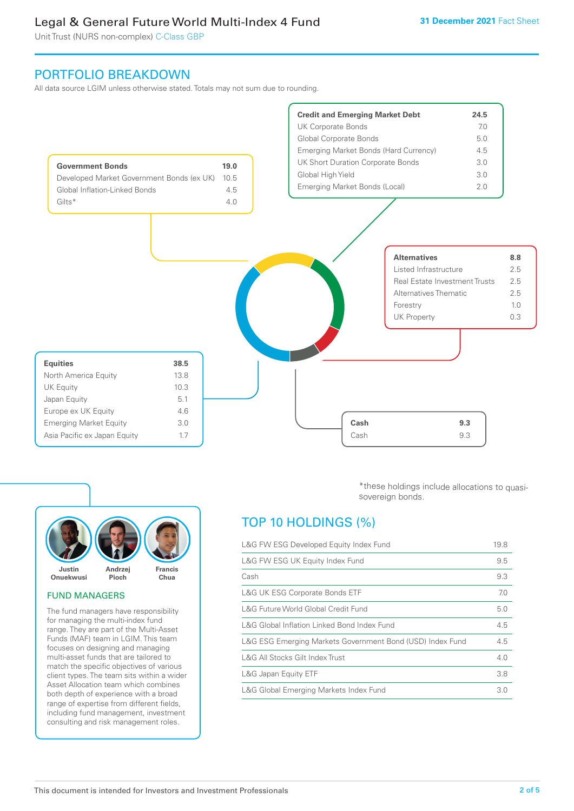Unit Trust (NURS non-complex) C-Class GBP

# PORTFOLIO BREAKDOWN

All data source LGIM unless otherwise stated. Totals may not sum due to rounding.





# FUND MANAGERS

The fund managers have responsibility for managing the multi-index fund range. They are part of the Multi-Asset Funds (MAF) team in LGIM. This team focuses on designing and managing multi-asset funds that are tailored to match the specific objectives of various client types. The team sits within a wider Asset Allocation team which combines both depth of experience with a broad range of expertise from different fields, including fund management, investment consulting and risk management roles.

\*these holdings include allocations to quasisovereign bonds.

# TOP 10 HOLDINGS (%)

| L&G FW ESG Developed Equity Index Fund                    |     |
|-----------------------------------------------------------|-----|
| L&G FW ESG UK Equity Index Fund                           | 9.5 |
| Cash                                                      | 9.3 |
| <b>L&amp;G UK ESG Corporate Bonds ETF</b>                 | 7.0 |
| L&G Future World Global Credit Fund                       | 5.0 |
| L&G Global Inflation Linked Bond Index Fund               | 4.5 |
| L&G ESG Emerging Markets Government Bond (USD) Index Fund |     |
| L&G All Stocks Gilt Index Trust                           | 4.0 |
| L&G Japan Equity ETF                                      | 3.8 |
| L&G Global Emerging Markets Index Fund                    |     |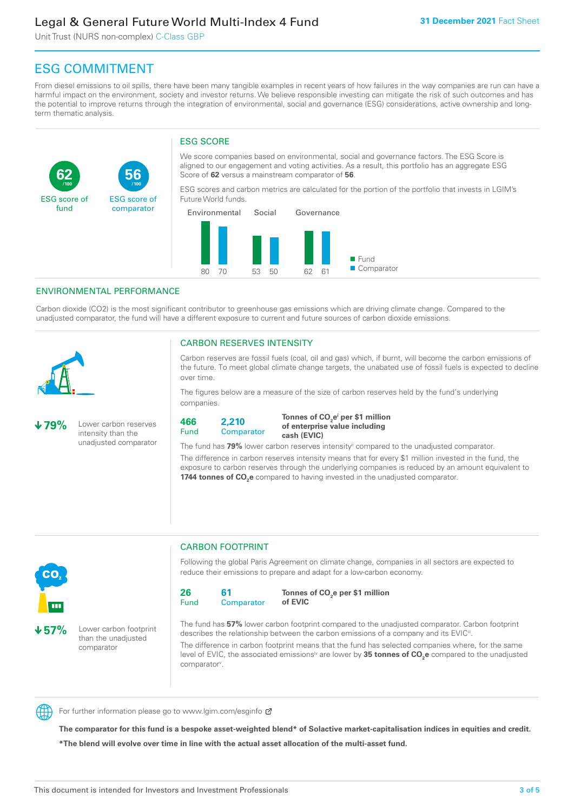Unit Trust (NURS non-complex) C-Class GBP

**56**

ESG score of comparator

# ESG COMMITMENT

From diesel emissions to oil spills, there have been many tangible examples in recent years of how failures in the way companies are run can have a harmful impact on the environment, society and investor returns. We believe responsible investing can mitigate the risk of such outcomes and has the potential to improve returns through the integration of environmental, social and governance (ESG) considerations, active ownership and longterm thematic analysis.

# ESG SCORE

We score companies based on environmental, social and governance factors. The ESG Score is aligned to our engagement and voting activities. As a result, this portfolio has an aggregate ESG Score of **62** versus a mainstream comparator of **56**.

ESG scores and carbon metrics are calculated for the portion of the portfolio that invests in LGIM's Future World funds.



# ENVIRONMENTAL PERFORMANCE

**/100 /100**

Carbon dioxide (CO2) is the most significant contributor to greenhouse gas emissions which are driving climate change. Compared to the unadjusted comparator, the fund will have a different exposure to current and future sources of carbon dioxide emissions.



**62**

ESG score of fund

## CARBON RESERVES INTENSITY

Carbon reserves are fossil fuels (coal, oil and gas) which, if burnt, will become the carbon emissions of the future. To meet global climate change targets, the unabated use of fossil fuels is expected to decline over time.

The figures below are a measure of the size of carbon reserves held by the fund's underlying companies.

**79%** Lower carbon reserves intensity than the unadjusted comparator

> than the unadjusted comparator



Tonnes of CO<sub>2</sub>e<sup>i</sup> per \$1 million **of enterprise value including cash (EVIC)**

The fund has 79% lower carbon reserves intensity<sup>ii</sup> compared to the unadjusted comparator.

The difference in carbon reserves intensity means that for every \$1 million invested in the fund, the exposure to carbon reserves through the underlying companies is reduced by an amount equivalent to **1744 tonnes of CO<sub>2</sub>e** compared to having invested in the unadjusted comparator.



CARBON FOOTPRINT

Following the global Paris Agreement on climate change, companies in all sectors are expected to reduce their emissions to prepare and adapt for a low-carbon economy.



**Tonnes of CO2 e per \$1 million of EVIC**

The fund has **57%** lower carbon footprint compared to the unadjusted comparator. Carbon footprint describes the relationship between the carbon emissions of a company and its EVIC<sup>ii</sup>.

The difference in carbon footprint means that the fund has selected companies where, for the same level of EVIC, the associated emissions<sup>iv</sup> are lower by **35 tonnes of CO<sub>2</sub>e** compared to the unadjusted comparator<sup>v</sup>.



For further information please go to www.lgim.com/esginfo Ø

**The comparator for this fund is a bespoke asset-weighted blend\* of Solactive market-capitalisation indices in equities and credit. \*The blend will evolve over time in line with the actual asset allocation of the multi-asset fund.**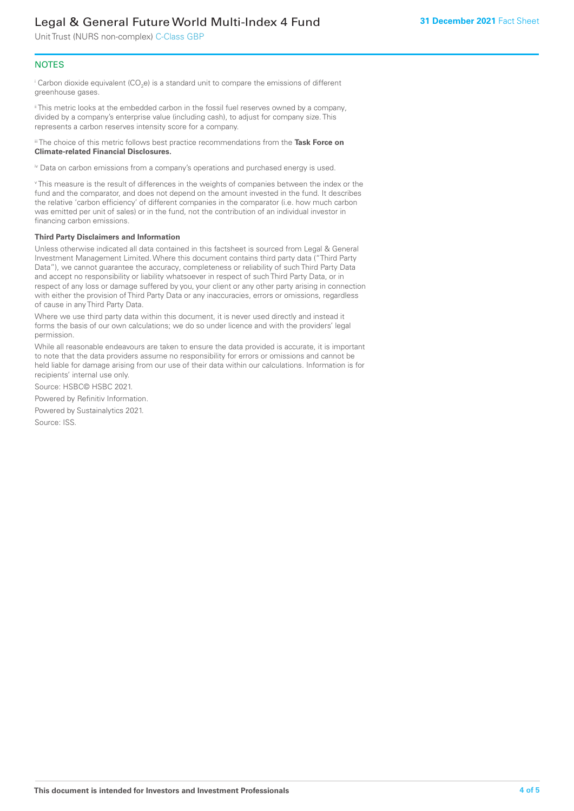Unit Trust (NURS non-complex) C-Class GBP

# **NOTES**

 $^\mathrm{i}$  Carbon dioxide equivalent (CO<sub>2</sub>e) is a standard unit to compare the emissions of different greenhouse gases.

ii This metric looks at the embedded carbon in the fossil fuel reserves owned by a company, divided by a company's enterprise value (including cash), to adjust for company size. This represents a carbon reserves intensity score for a company.

iii The choice of this metric follows best practice recommendations from the **Task Force on Climate-related Financial Disclosures.**

iv Data on carbon emissions from a company's operations and purchased energy is used.

v This measure is the result of differences in the weights of companies between the index or the fund and the comparator, and does not depend on the amount invested in the fund. It describes the relative 'carbon efficiency' of different companies in the comparator (i.e. how much carbon was emitted per unit of sales) or in the fund, not the contribution of an individual investor in financing carbon emissions.

#### **Third Party Disclaimers and Information**

Unless otherwise indicated all data contained in this factsheet is sourced from Legal & General Investment Management Limited. Where this document contains third party data ("Third Party Data"), we cannot guarantee the accuracy, completeness or reliability of such Third Party Data and accept no responsibility or liability whatsoever in respect of such Third Party Data, or in respect of any loss or damage suffered by you, your client or any other party arising in connection with either the provision of Third Party Data or any inaccuracies, errors or omissions, regardless of cause in any Third Party Data.

Where we use third party data within this document, it is never used directly and instead it forms the basis of our own calculations; we do so under licence and with the providers' legal permission.

While all reasonable endeavours are taken to ensure the data provided is accurate, it is important to note that the data providers assume no responsibility for errors or omissions and cannot be held liable for damage arising from our use of their data within our calculations. Information is for recipients' internal use only.

Source: HSBC© HSBC 2021.

Powered by Refinitiv Information.

Powered by Sustainalytics 2021.

Source: ISS.